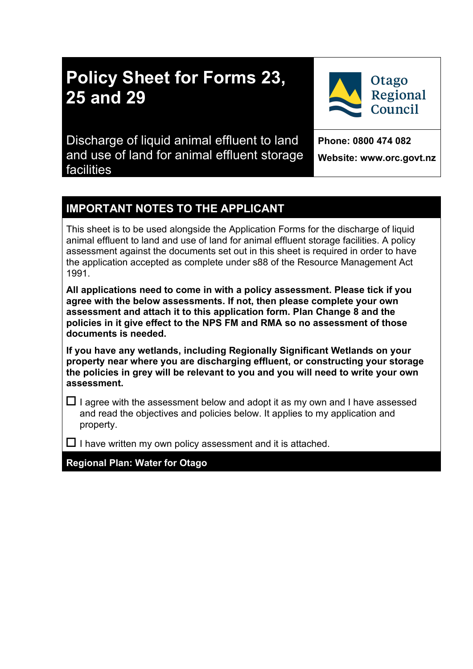# **Policy Sheet for Forms 23, 25 and 29**

Discharge of liquid animal effluent to land and use of land for animal effluent storage facilities

**Phone: 0800 474 082 Website: www.orc.govt.nz**

**Otago** 

Regional Council

# **IMPORTANT NOTES TO THE APPLICANT**

This sheet is to be used alongside the Application Forms for the discharge of liquid animal effluent to land and use of land for animal effluent storage facilities. A policy assessment against the documents set out in this sheet is required in order to have the application accepted as complete under s88 of the Resource Management Act 1991.

**All applications need to come in with a policy assessment. Please tick if you agree with the below assessments. If not, then please complete your own assessment and attach it to this application form. Plan Change 8 and the policies in it give effect to the NPS FM and RMA so no assessment of those documents is needed.** 

**If you have any wetlands, including Regionally Significant Wetlands on your property near where you are discharging effluent, or constructing your storage the policies in grey will be relevant to you and you will need to write your own assessment.** 

 $\Box$  I agree with the assessment below and adopt it as my own and I have assessed and read the objectives and policies below. It applies to my application and property.

 $\square$  I have written my own policy assessment and it is attached.

**Regional Plan: Water for Otago**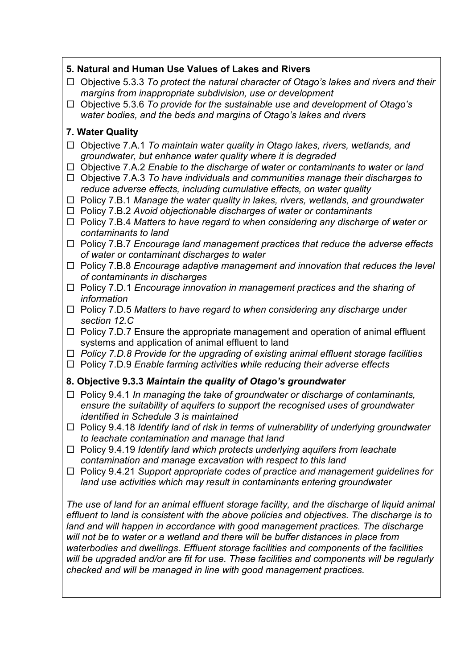# **5. Natural and Human Use Values of Lakes and Rivers**

- Objective 5.3.3 *To protect the natural character of Otago's lakes and rivers and their margins from inappropriate subdivision, use or development*
- Objective 5.3.6 *To provide for the sustainable use and development of Otago's water bodies, and the beds and margins of Otago's lakes and rivers*

## **7. Water Quality**

- Objective 7.A.1 *To maintain water quality in Otago lakes, rivers, wetlands, and groundwater, but enhance water quality where it is degraded*
- Objective 7.A.2 *Enable to the discharge of water or contaminants to water or land*
- Objective 7.A.3 *To have individuals and communities manage their discharges to reduce adverse effects, including cumulative effects, on water quality*
- □ Policy 7.B.1 *Manage the water quality in lakes, rivers, wetlands, and groundwater*
- Policy 7.B.2 *Avoid objectionable discharges of water or contaminants*
- Policy 7.B.4 *Matters to have regard to when considering any discharge of water or contaminants to land*
- □ Policy 7.B.7 *Encourage land management practices that reduce the adverse effects of water or contaminant discharges to water*
- Policy 7.B.8 *Encourage adaptive management and innovation that reduces the level of contaminants in discharges*
- □ Policy 7.D.1 *Encourage innovation in management practices and the sharing of information*
- Policy 7.D.5 *Matters to have regard to when considering any discharge under section 12.C*
- $\Box$  Policy 7.D.7 Ensure the appropriate management and operation of animal effluent systems and application of animal effluent to land
- *Policy 7.D.8 Provide for the upgrading of existing animal effluent storage facilities*
- □ Policy 7.D.9 *Enable farming activities while reducing their adverse effects*

#### **8. Objective 9.3.3** *Maintain the quality of Otago's groundwater*

- □ Policy 9.4.1 *In managing the take of groundwater or discharge of contaminants, ensure the suitability of aquifers to support the recognised uses of groundwater identified in Schedule 3 is maintained*
- □ Policy 9.4.18 *Identify land of risk in terms of vulnerability of underlying groundwater to leachate contamination and manage that land*
- Policy 9.4.19 *Identify land which protects underlying aquifers from leachate contamination and manage excavation with respect to this land*
- □ Policy 9.4.21 *Support appropriate codes of practice and management guidelines for land use activities which may result in contaminants entering groundwater*

*The use of land for an animal effluent storage facility, and the discharge of liquid animal effluent to land is consistent with the above policies and objectives. The discharge is to*  land and will happen in accordance with good management practices. The discharge *will not be to water or a wetland and there will be buffer distances in place from waterbodies and dwellings. Effluent storage facilities and components of the facilities will be upgraded and/or are fit for use. These facilities and components will be regularly checked and will be managed in line with good management practices.*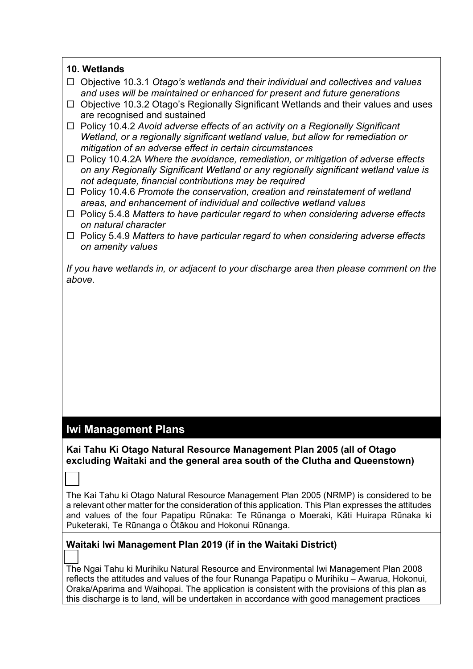#### **10. Wetlands**

- Objective 10.3.1 *Otago's wetlands and their individual and collectives and values and uses will be maintained or enhanced for present and future generations*
- $\Box$  Objective 10.3.2 Otago's Regionally Significant Wetlands and their values and uses are recognised and sustained
- □ Policy 10.4.2 *Avoid adverse effects of an activity on a Regionally Significant Wetland, or a regionally significant wetland value, but allow for remediation or mitigation of an adverse effect in certain circumstances*
- □ Policy 10.4.2A *Where the avoidance, remediation, or mitigation of adverse effects on any Regionally Significant Wetland or any regionally significant wetland value is not adequate, financial contributions may be required*
- Policy 10.4.6 *Promote the conservation, creation and reinstatement of wetland areas, and enhancement of individual and collective wetland values*
- Policy 5.4.8 *Matters to have particular regard to when considering adverse effects on natural character*
- Policy 5.4.9 *Matters to have particular regard to when considering adverse effects on amenity values*

*If you have wetlands in, or adjacent to your discharge area then please comment on the above.* 

# **Iwi Management Plans**

☐

## **Kai Tahu Ki Otago Natural Resource Management Plan 2005 (all of Otago excluding Waitaki and the general area south of the Clutha and Queenstown)**

The Kai Tahu ki Otago Natural Resource Management Plan 2005 (NRMP) is considered to be a relevant other matter for the consideration of this application. This Plan expresses the attitudes and values of the four Papatipu Rūnaka: Te Rūnanga o Moeraki, Kāti Huirapa Rūnaka ki Puketeraki, Te Rūnanga o Ōtākou and Hokonui Rūnanga.

#### **Waitaki Iwi Management Plan 2019 (if in the Waitaki District)**

 $\overline{\phantom{a}}$ The Ngai Tahu ki Murihiku Natural Resource and Environmental Iwi Management Plan 2008 reflects the attitudes and values of the four Runanga Papatipu o Murihiku – Awarua, Hokonui, Oraka/Aparima and Waihopai. The application is consistent with the provisions of this plan as this discharge is to land, will be undertaken in accordance with good management practices